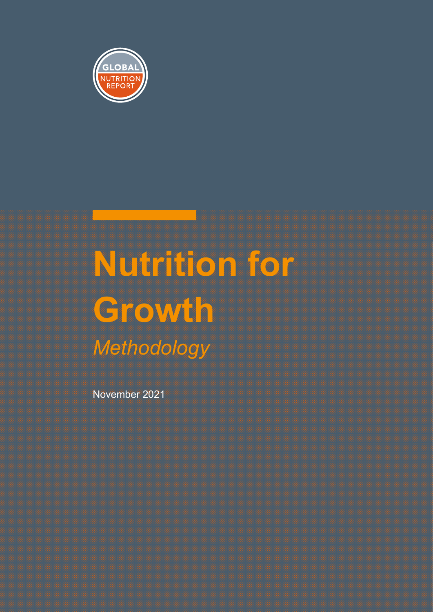

# **Nutrition for Growth**  *Methodology*

November 2021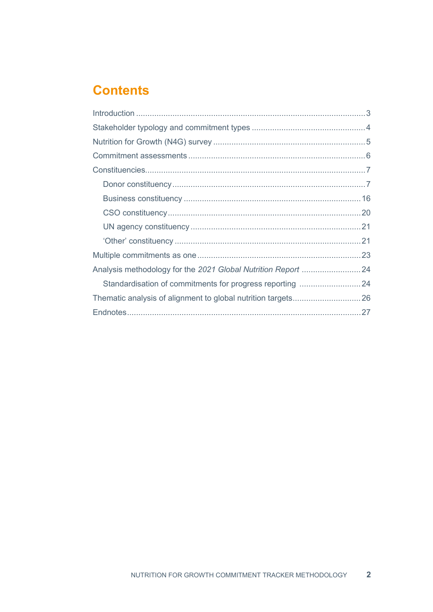### **Contents**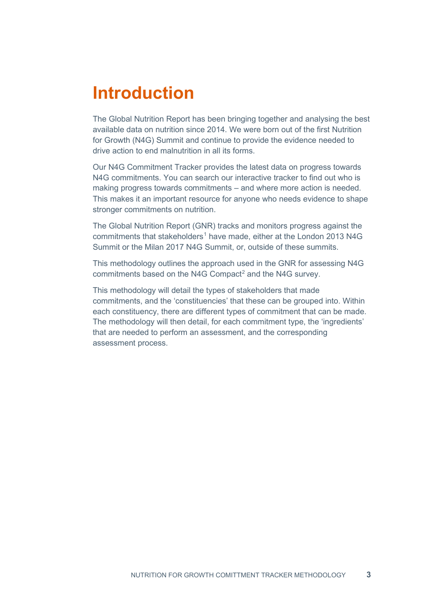## <span id="page-2-0"></span>**Introduction**

The Global Nutrition Report has been bringing together and analysing the best available data on nutrition since 2014. We were born out of the first Nutrition for Growth (N4G) Summit and continue to provide the evidence needed to drive action to end malnutrition in all its forms.

Our N4G Commitment Tracker provides the latest data on progress towards N4G commitments. You can search our interactive tracker to find out who is making progress towards commitments – and where more action is needed. This makes it an important resource for anyone who needs evidence to shape stronger commitments on nutrition.

The Global Nutrition Report (GNR) tracks and monitors progress against the commitments that stakeholders<sup>[1](#page-26-1)</sup> have made, either at the London 2013 N4G Summit or the Milan 2017 N4G Summit, or, outside of these summits.

This methodology outlines the approach used in the GNR for assessing N4G commitments based on the N4G Compact<sup>[2](#page-26-2)</sup> and the N4G survey.

This methodology will detail the types of stakeholders that made commitments, and the 'constituencies' that these can be grouped into. Within each constituency, there are different types of commitment that can be made. The methodology will then detail, for each commitment type, the 'ingredients' that are needed to perform an assessment, and the corresponding assessment process.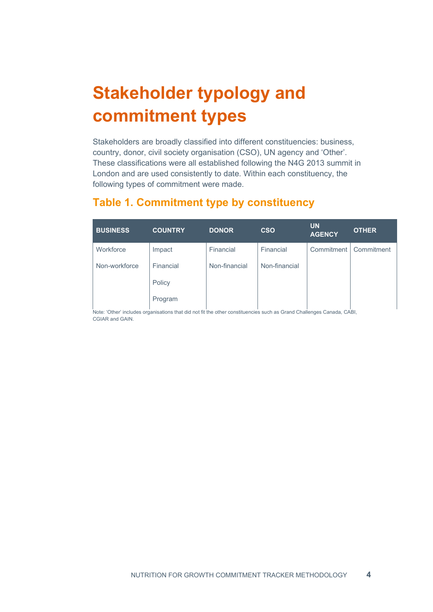# <span id="page-3-0"></span>**Stakeholder typology and commitment types**

Stakeholders are broadly classified into different constituencies: business, country, donor, civil society organisation (CSO), UN agency and 'Other'. These classifications were all established following the N4G 2013 summit in London and are used consistently to date. Within each constituency, the following types of commitment were made.

### **Table 1. Commitment type by constituency**

| <b>BUSINESS</b> | <b>COUNTRY</b> | <b>DONOR</b>  | <b>CSO</b>    | <b>UN</b><br><b>AGENCY</b> | <b>OTHER</b> |
|-----------------|----------------|---------------|---------------|----------------------------|--------------|
| Workforce       | Impact         | Financial     | Financial     | Commitment                 | Commitment   |
| Non-workforce   | Financial      | Non-financial | Non-financial |                            |              |
|                 | Policy         |               |               |                            |              |
|                 | Program        |               |               |                            |              |

Note: 'Other' includes organisations that did not fit the other constituencies such as Grand Challenges Canada, CABI, CGIAR and GAIN.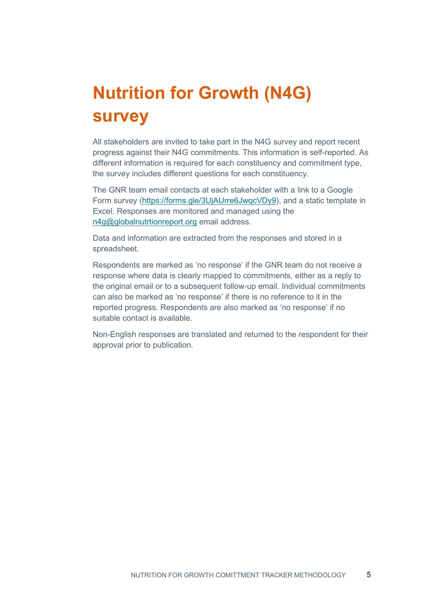# <span id="page-4-0"></span>**Nutrition for Growth (N4G) survey**

All stakeholders are invited to take part in the N4G survey and report recent progress against their N4G commitments. This information is self-reported. As different information is required for each constituency and commitment type, the survey includes different questions for each constituency.

The GNR team email contacts at each stakeholder with a link to a Google Form survey [\(https://forms.gle/3UjAUrre6JwqcVDy9\)](https://forms.gle/3UjAUrre6JwqcVDy9), and a static template in Excel. Responses are monitored and managed using the [n4g@globalnutrtionreport.org](mailto:n4g@globalnutrtionreport.org) email address.

Data and information are extracted from the responses and stored in a spreadsheet.

Respondents are marked as 'no response' if the GNR team do not receive a response where data is clearly mapped to commitments, either as a reply to the original email or to a subsequent follow-up email. Individual commitments can also be marked as 'no response' if there is no reference to it in the reported progress. Respondents are also marked as 'no response' if no suitable contact is available.

Non-English responses are translated and returned to the respondent for their approval prior to publication.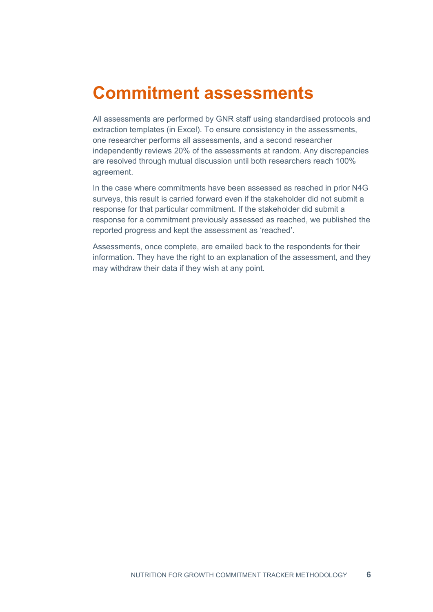### <span id="page-5-0"></span>**Commitment assessments**

All assessments are performed by GNR staff using standardised protocols and extraction templates (in Excel). To ensure consistency in the assessments, one researcher performs all assessments, and a second researcher independently reviews 20% of the assessments at random. Any discrepancies are resolved through mutual discussion until both researchers reach 100% agreement.

In the case where commitments have been assessed as reached in prior N4G surveys, this result is carried forward even if the stakeholder did not submit a response for that particular commitment. If the stakeholder did submit a response for a commitment previously assessed as reached, we published the reported progress and kept the assessment as 'reached'.

Assessments, once complete, are emailed back to the respondents for their information. They have the right to an explanation of the assessment, and they may withdraw their data if they wish at any point.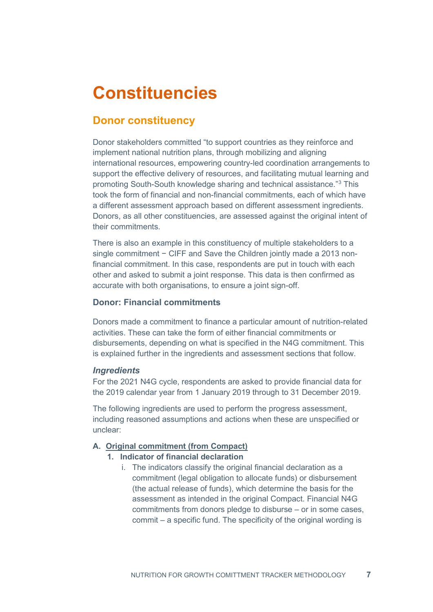# <span id="page-6-0"></span>**Constituencies**

### <span id="page-6-1"></span>**Donor constituency**

Donor stakeholders committed "to support countries as they reinforce and implement national nutrition plans, through mobilizing and aligning international resources, empowering country-led coordination arrangements to support the effective delivery of resources, and facilitating mutual learning and promoting South-South knowledge sharing and technical assistance."[3](#page-26-3) This took the form of financial and non-financial commitments, each of which have a different assessment approach based on different assessment ingredients. Donors, as all other constituencies, are assessed against the original intent of their commitments.

There is also an example in this constituency of multiple stakeholders to a single commitment − CIFF and Save the Children jointly made a 2013 nonfinancial commitment. In this case, respondents are put in touch with each other and asked to submit a joint response. This data is then confirmed as accurate with both organisations, to ensure a joint sign-off.

#### **Donor: Financial commitments**

Donors made a commitment to finance a particular amount of nutrition-related activities. These can take the form of either financial commitments or disbursements, depending on what is specified in the N4G commitment. This is explained further in the ingredients and assessment sections that follow.

#### *Ingredients*

For the 2021 N4G cycle, respondents are asked to provide financial data for the 2019 calendar year from 1 January 2019 through to 31 December 2019.

The following ingredients are used to perform the progress assessment, including reasoned assumptions and actions when these are unspecified or unclear:

#### **A. Original commitment (from Compact)**

- **1. Indicator of financial declaration**
	- i. The indicators classify the original financial declaration as a commitment (legal obligation to allocate funds) or disbursement (the actual release of funds), which determine the basis for the assessment as intended in the original Compact. Financial N4G commitments from donors pledge to disburse – or in some cases, commit – a specific fund. The specificity of the original wording is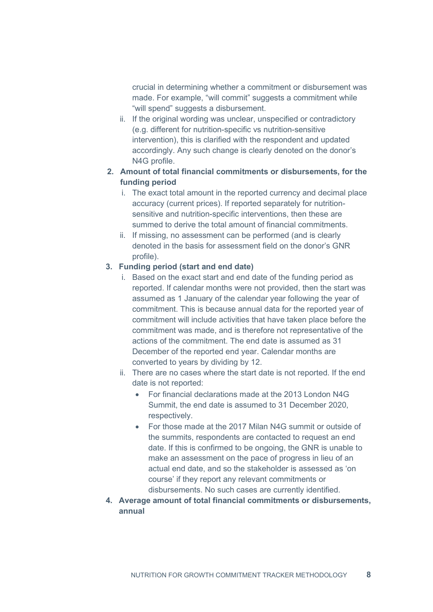crucial in determining whether a commitment or disbursement was made. For example, "will commit" suggests a commitment while "will spend" suggests a disbursement.

ii. If the original wording was unclear, unspecified or contradictory (e.g. different for nutrition-specific vs nutrition-sensitive intervention), this is clarified with the respondent and updated accordingly. Any such change is clearly denoted on the donor's N4G profile.

#### **2. Amount of total financial commitments or disbursements, for the funding period**

- i. The exact total amount in the reported currency and decimal place accuracy (current prices). If reported separately for nutritionsensitive and nutrition-specific interventions, then these are summed to derive the total amount of financial commitments.
- ii. If missing, no assessment can be performed (and is clearly denoted in the basis for assessment field on the donor's GNR profile).

#### **3. Funding period (start and end date)**

- i. Based on the exact start and end date of the funding period as reported. If calendar months were not provided, then the start was assumed as 1 January of the calendar year following the year of commitment. This is because annual data for the reported year of commitment will include activities that have taken place before the commitment was made, and is therefore not representative of the actions of the commitment. The end date is assumed as 31 December of the reported end year. Calendar months are converted to years by dividing by 12.
- ii. There are no cases where the start date is not reported. If the end date is not reported:
	- For financial declarations made at the 2013 London N4G Summit, the end date is assumed to 31 December 2020, respectively.
	- For those made at the 2017 Milan N4G summit or outside of the summits, respondents are contacted to request an end date. If this is confirmed to be ongoing, the GNR is unable to make an assessment on the pace of progress in lieu of an actual end date, and so the stakeholder is assessed as 'on course' if they report any relevant commitments or disbursements. No such cases are currently identified.
- **4. Average amount of total financial commitments or disbursements, annual**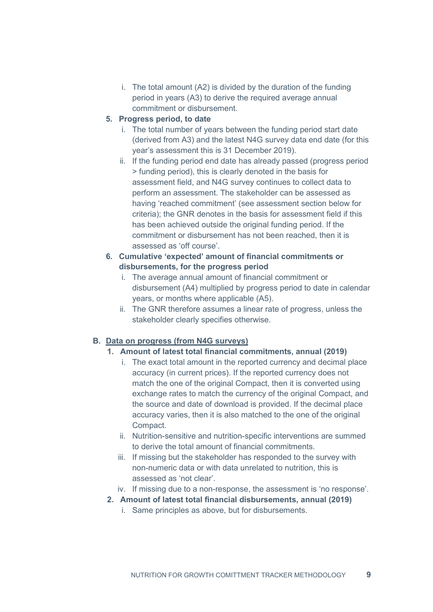i. The total amount (A2) is divided by the duration of the funding period in years (A3) to derive the required average annual commitment or disbursement.

#### **5. Progress period, to date**

- i. The total number of years between the funding period start date (derived from A3) and the latest N4G survey data end date (for this year's assessment this is 31 December 2019).
- ii. If the funding period end date has already passed (progress period > funding period), this is clearly denoted in the basis for assessment field, and N4G survey continues to collect data to perform an assessment. The stakeholder can be assessed as having 'reached commitment' (see assessment section below for criteria); the GNR denotes in the basis for assessment field if this has been achieved outside the original funding period. If the commitment or disbursement has not been reached, then it is assessed as 'off course'.

#### **6. Cumulative 'expected' amount of financial commitments or disbursements, for the progress period**

- i. The average annual amount of financial commitment or disbursement (A4) multiplied by progress period to date in calendar years, or months where applicable (A5).
- ii. The GNR therefore assumes a linear rate of progress, unless the stakeholder clearly specifies otherwise.

#### **B. Data on progress (from N4G surveys)**

#### **1. Amount of latest total financial commitments, annual (2019)**

- i. The exact total amount in the reported currency and decimal place accuracy (in current prices). If the reported currency does not match the one of the original Compact, then it is converted using exchange rates to match the currency of the original Compact, and the source and date of download is provided. If the decimal place accuracy varies, then it is also matched to the one of the original Compact.
- ii. Nutrition-sensitive and nutrition-specific interventions are summed to derive the total amount of financial commitments.
- iii. If missing but the stakeholder has responded to the survey with non-numeric data or with data unrelated to nutrition, this is assessed as 'not clear'.
- iv. If missing due to a non-response, the assessment is 'no response'.
- **2. Amount of latest total financial disbursements, annual (2019)**
	- i. Same principles as above, but for disbursements.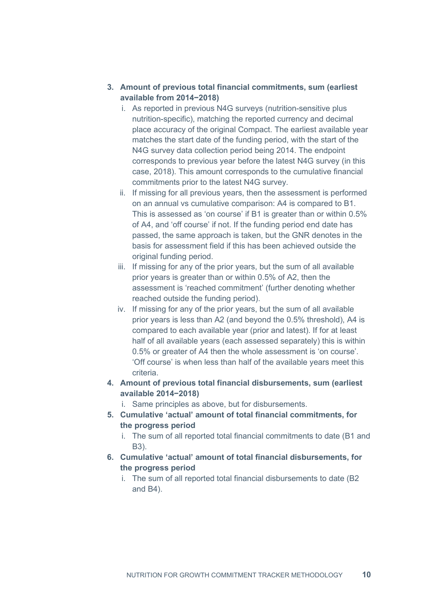#### **3. Amount of previous total financial commitments, sum (earliest available from 2014−2018)**

- i. As reported in previous N4G surveys (nutrition-sensitive plus nutrition-specific), matching the reported currency and decimal place accuracy of the original Compact. The earliest available year matches the start date of the funding period, with the start of the N4G survey data collection period being 2014. The endpoint corresponds to previous year before the latest N4G survey (in this case, 2018). This amount corresponds to the cumulative financial commitments prior to the latest N4G survey.
- ii. If missing for all previous years, then the assessment is performed on an annual vs cumulative comparison: A4 is compared to B1. This is assessed as 'on course' if B1 is greater than or within 0.5% of A4, and 'off course' if not. If the funding period end date has passed, the same approach is taken, but the GNR denotes in the basis for assessment field if this has been achieved outside the original funding period.
- iii. If missing for any of the prior years, but the sum of all available prior years is greater than or within 0.5% of A2, then the assessment is 'reached commitment' (further denoting whether reached outside the funding period).
- iv. If missing for any of the prior years, but the sum of all available prior years is less than A2 (and beyond the 0.5% threshold), A4 is compared to each available year (prior and latest). If for at least half of all available years (each assessed separately) this is within 0.5% or greater of A4 then the whole assessment is 'on course'. 'Off course' is when less than half of the available years meet this criteria.
- **4. Amount of previous total financial disbursements, sum (earliest available 2014−2018)**
	- i. Same principles as above, but for disbursements.
- **5. Cumulative 'actual' amount of total financial commitments, for the progress period**
	- i. The sum of all reported total financial commitments to date (B1 and B3).
- **6. Cumulative 'actual' amount of total financial disbursements, for the progress period**
	- i. The sum of all reported total financial disbursements to date (B2 and B4).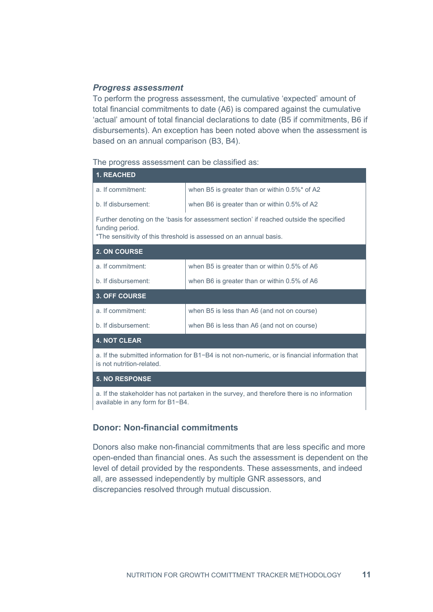#### *Progress assessment*

To perform the progress assessment, the cumulative 'expected' amount of total financial commitments to date (A6) is compared against the cumulative 'actual' amount of total financial declarations to date (B5 if commitments, B6 if disbursements). An exception has been noted above when the assessment is based on an annual comparison (B3, B4).

The progress assessment can be classified as:

| <b>1. REACHED</b>                                                                                                                                                                |                                               |  |  |  |
|----------------------------------------------------------------------------------------------------------------------------------------------------------------------------------|-----------------------------------------------|--|--|--|
| a. If commitment:                                                                                                                                                                | when B5 is greater than or within 0.5%* of A2 |  |  |  |
| b. If disbursement:                                                                                                                                                              | when B6 is greater than or within 0.5% of A2  |  |  |  |
| Further denoting on the 'basis for assessment section' if reached outside the specified<br>funding period.<br>*The sensitivity of this threshold is assessed on an annual basis. |                                               |  |  |  |
| 2. ON COURSE                                                                                                                                                                     |                                               |  |  |  |
| a. If commitment:                                                                                                                                                                | when B5 is greater than or within 0.5% of A6  |  |  |  |
| b. If disbursement:                                                                                                                                                              | when B6 is greater than or within 0.5% of A6  |  |  |  |
| <b>3. OFF COURSE</b>                                                                                                                                                             |                                               |  |  |  |
| a. If commitment:                                                                                                                                                                | when B5 is less than A6 (and not on course)   |  |  |  |
| b. If disbursement:                                                                                                                                                              | when B6 is less than A6 (and not on course)   |  |  |  |
| <b>4. NOT CLEAR</b>                                                                                                                                                              |                                               |  |  |  |
| a. If the submitted information for B1-B4 is not non-numeric, or is financial information that<br>is not nutrition-related.                                                      |                                               |  |  |  |

#### **5. NO RESPONSE**

a. If the stakeholder has not partaken in the survey, and therefore there is no information available in any form for B1−B4.

#### **Donor: Non-financial commitments**

Donors also make non-financial commitments that are less specific and more open-ended than financial ones. As such the assessment is dependent on the level of detail provided by the respondents. These assessments, and indeed all, are assessed independently by multiple GNR assessors, and discrepancies resolved through mutual discussion.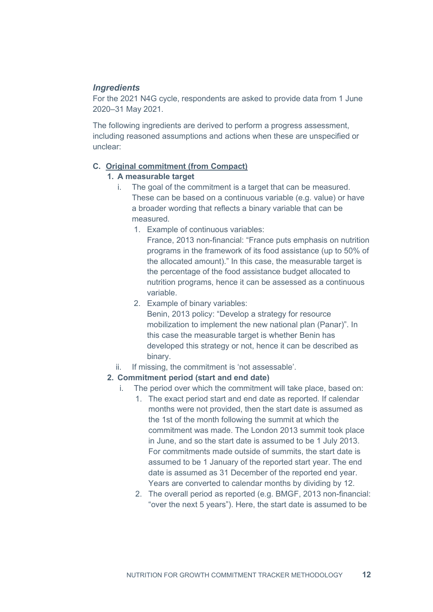#### *Ingredients*

For the 2021 N4G cycle, respondents are asked to provide data from 1 June 2020–31 May 2021.

The following ingredients are derived to perform a progress assessment, including reasoned assumptions and actions when these are unspecified or unclear:

#### **C. Original commitment (from Compact)**

#### **1. A measurable target**

- i. The goal of the commitment is a target that can be measured. These can be based on a continuous variable (e.g. value) or have a broader wording that reflects a binary variable that can be measured.
	- 1. Example of continuous variables:

France, 2013 non-financial: "France puts emphasis on nutrition programs in the framework of its food assistance (up to 50% of the allocated amount)." In this case, the measurable target is the percentage of the food assistance budget allocated to nutrition programs, hence it can be assessed as a continuous variable.

2. Example of binary variables:

Benin, 2013 policy: "Develop a strategy for resource mobilization to implement the new national plan (Panar)". In this case the measurable target is whether Benin has developed this strategy or not, hence it can be described as binary.

ii. If missing, the commitment is 'not assessable'.

#### **2. Commitment period (start and end date)**

- i. The period over which the commitment will take place, based on:
	- 1. The exact period start and end date as reported. If calendar months were not provided, then the start date is assumed as the 1st of the month following the summit at which the commitment was made. The London 2013 summit took place in June, and so the start date is assumed to be 1 July 2013. For commitments made outside of summits, the start date is assumed to be 1 January of the reported start year. The end date is assumed as 31 December of the reported end year. Years are converted to calendar months by dividing by 12.
	- 2. The overall period as reported (e.g. BMGF, 2013 non-financial: "over the next 5 years"). Here, the start date is assumed to be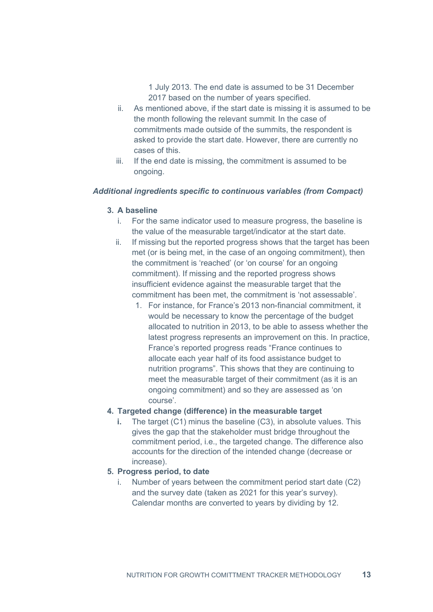1 July 2013. The end date is assumed to be 31 December 2017 based on the number of years specified.

- ii. As mentioned above, if the start date is missing it is assumed to be the month following the relevant summit. In the case of commitments made outside of the summits, the respondent is asked to provide the start date. However, there are currently no cases of this.
- iii. If the end date is missing, the commitment is assumed to be ongoing.

#### *Additional ingredients specific to continuous variables (from Compact)*

#### **3. A baseline**

- i. For the same indicator used to measure progress, the baseline is the value of the measurable target/indicator at the start date.
- ii. If missing but the reported progress shows that the target has been met (or is being met, in the case of an ongoing commitment), then the commitment is 'reached' (or 'on course' for an ongoing commitment). If missing and the reported progress shows insufficient evidence against the measurable target that the commitment has been met, the commitment is 'not assessable'.
	- 1. For instance, for France's 2013 non-financial commitment, it would be necessary to know the percentage of the budget allocated to nutrition in 2013, to be able to assess whether the latest progress represents an improvement on this. In practice, France's reported progress reads "France continues to allocate each year half of its food assistance budget to nutrition programs". This shows that they are continuing to meet the measurable target of their commitment (as it is an ongoing commitment) and so they are assessed as 'on course'.

#### **4. Targeted change (difference) in the measurable target**

**i.** The target (C1) minus the baseline (C3), in absolute values. This gives the gap that the stakeholder must bridge throughout the commitment period, i.e., the targeted change. The difference also accounts for the direction of the intended change (decrease or increase).

#### **5. Progress period, to date**

i. Number of years between the commitment period start date (C2) and the survey date (taken as 2021 for this year's survey). Calendar months are converted to years by dividing by 12.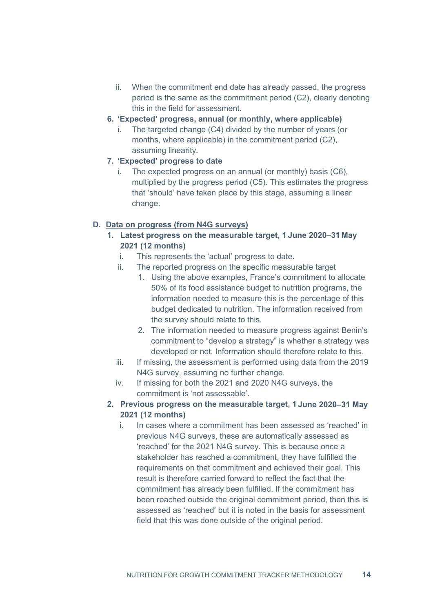- ii. When the commitment end date has already passed, the progress period is the same as the commitment period (C2), clearly denoting this in the field for assessment.
- **6. 'Expected' progress, annual (or monthly, where applicable)**
	- i. The targeted change (C4) divided by the number of years (or months, where applicable) in the commitment period (C2), assuming linearity.
- **7. 'Expected' progress to date**
	- i. The expected progress on an annual (or monthly) basis (C6), multiplied by the progress period (C5). This estimates the progress that 'should' have taken place by this stage, assuming a linear change.

#### **D. Data on progress (from N4G surveys)**

- **1. Latest progress on the measurable target, 1 June 2020–31 May 2021 (12 months)**
	- i. This represents the 'actual' progress to date.
	- ii. The reported progress on the specific measurable target
		- 1. Using the above examples, France's commitment to allocate 50% of its food assistance budget to nutrition programs, the information needed to measure this is the percentage of this budget dedicated to nutrition. The information received from the survey should relate to this.
		- 2. The information needed to measure progress against Benin's commitment to "develop a strategy" is whether a strategy was developed or not. Information should therefore relate to this.
	- iii. If missing, the assessment is performed using data from the 2019 N4G survey, assuming no further change.
	- iv. If missing for both the 2021 and 2020 N4G surveys, the commitment is 'not assessable'.
- **2. Previous progress on the measurable target, 1 June 2020–31 May 2021 (12 months)**
	- i. In cases where a commitment has been assessed as 'reached' in previous N4G surveys, these are automatically assessed as 'reached' for the 2021 N4G survey. This is because once a stakeholder has reached a commitment, they have fulfilled the requirements on that commitment and achieved their goal. This result is therefore carried forward to reflect the fact that the commitment has already been fulfilled. If the commitment has been reached outside the original commitment period, then this is assessed as 'reached' but it is noted in the basis for assessment field that this was done outside of the original period.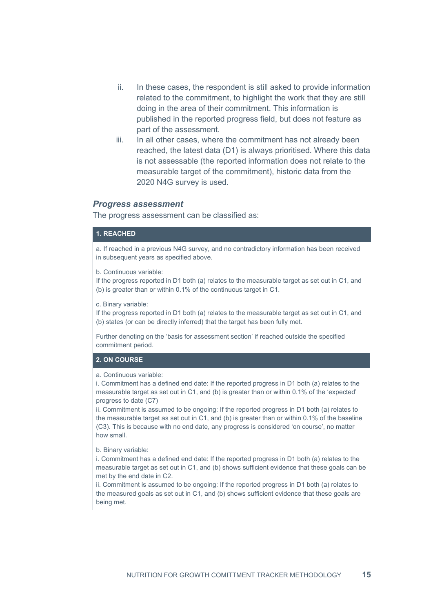- ii. In these cases, the respondent is still asked to provide information related to the commitment, to highlight the work that they are still doing in the area of their commitment. This information is published in the reported progress field, but does not feature as part of the assessment.
- iii. In all other cases, where the commitment has not already been reached, the latest data (D1) is always prioritised. Where this data is not assessable (the reported information does not relate to the measurable target of the commitment), historic data from the 2020 N4G survey is used.

#### *Progress assessment*

The progress assessment can be classified as:

#### **1. REACHED**

a. If reached in a previous N4G survey, and no contradictory information has been received in subsequent years as specified above.

b. Continuous variable:

If the progress reported in D1 both (a) relates to the measurable target as set out in C1, and (b) is greater than or within 0.1% of the continuous target in C1.

c. Binary variable:

If the progress reported in D1 both (a) relates to the measurable target as set out in C1, and (b) states (or can be directly inferred) that the target has been fully met.

Further denoting on the 'basis for assessment section' if reached outside the specified commitment period.

#### **2. ON COURSE**

#### a. Continuous variable:

i. Commitment has a defined end date: If the reported progress in D1 both (a) relates to the measurable target as set out in C1, and (b) is greater than or within 0.1% of the 'expected' progress to date (C7)

ii. Commitment is assumed to be ongoing: If the reported progress in D1 both (a) relates to the measurable target as set out in C1, and (b) is greater than or within 0.1% of the baseline (C3). This is because with no end date, any progress is considered 'on course', no matter how small.

#### b. Binary variable:

i. Commitment has a defined end date: If the reported progress in D1 both (a) relates to the measurable target as set out in C1, and (b) shows sufficient evidence that these goals can be met by the end date in C2.

ii. Commitment is assumed to be ongoing: If the reported progress in D1 both (a) relates to the measured goals as set out in C1, and (b) shows sufficient evidence that these goals are being met.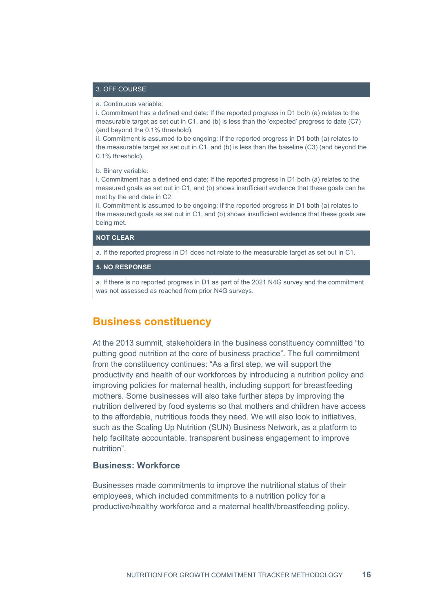#### 3. OFF COURSE

a. Continuous variable:

i. Commitment has a defined end date: If the reported progress in D1 both (a) relates to the measurable target as set out in C1, and (b) is less than the 'expected' progress to date (C7) (and beyond the 0.1% threshold).

ii. Commitment is assumed to be ongoing: If the reported progress in D1 both (a) relates to the measurable target as set out in C1, and (b) is less than the baseline (C3) (and beyond the 0.1% threshold).

b. Binary variable:

i. Commitment has a defined end date: If the reported progress in D1 both (a) relates to the measured goals as set out in C1, and (b) shows insufficient evidence that these goals can be met by the end date in C2.

ii. Commitment is assumed to be ongoing: If the reported progress in D1 both (a) relates to the measured goals as set out in C1, and (b) shows insufficient evidence that these goals are being met.

#### **NOT CLEAR**

a. If the reported progress in D1 does not relate to the measurable target as set out in C1.

**5. NO RESPONSE**

a. If there is no reported progress in D1 as part of the 2021 N4G survey and the commitment was not assessed as reached from prior N4G surveys.

#### <span id="page-15-0"></span>**Business constituency**

At the 2013 summit, stakeholders in the business constituency committed "to putting good nutrition at the core of business practice". The full commitment from the constituency continues: "As a first step, we will support the productivity and health of our workforces by introducing a nutrition policy and improving policies for maternal health, including support for breastfeeding mothers. Some businesses will also take further steps by improving the nutrition delivered by food systems so that mothers and children have access to the affordable, nutritious foods they need. We will also look to initiatives, such as the Scaling Up Nutrition (SUN) Business Network, as a platform to help facilitate accountable, transparent business engagement to improve nutrition".

#### **Business: Workforce**

Businesses made commitments to improve the nutritional status of their employees, which included commitments to a nutrition policy for a productive/healthy workforce and a maternal health/breastfeeding policy.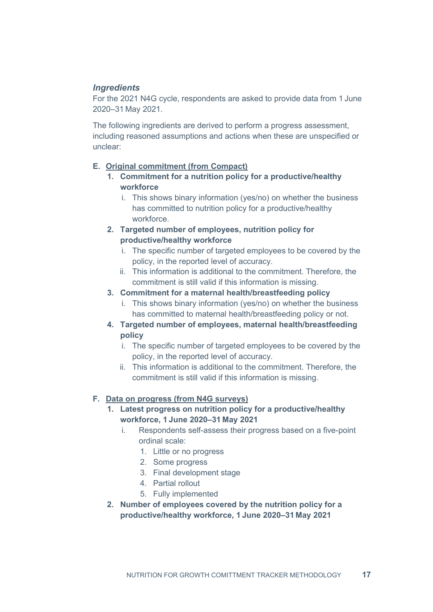#### *Ingredients*

For the 2021 N4G cycle, respondents are asked to provide data from 1 June 2020–31 May 2021.

The following ingredients are derived to perform a progress assessment, including reasoned assumptions and actions when these are unspecified or unclear:

#### **E. Original commitment (from Compact)**

- **1. Commitment for a nutrition policy for a productive/healthy workforce** 
	- i. This shows binary information (yes/no) on whether the business has committed to nutrition policy for a productive/healthy workforce.
- **2. Targeted number of employees, nutrition policy for productive/healthy workforce** 
	- i. The specific number of targeted employees to be covered by the policy, in the reported level of accuracy.
	- ii. This information is additional to the commitment. Therefore, the commitment is still valid if this information is missing.
- **3. Commitment for a maternal health/breastfeeding policy**
	- i. This shows binary information (yes/no) on whether the business has committed to maternal health/breastfeeding policy or not.
- **4. Targeted number of employees, maternal health/breastfeeding policy**
	- i. The specific number of targeted employees to be covered by the policy, in the reported level of accuracy.
	- ii. This information is additional to the commitment. Therefore, the commitment is still valid if this information is missing.

#### **F. Data on progress (from N4G surveys)**

- **1. Latest progress on nutrition policy for a productive/healthy workforce, 1 June 2020–31 May 2021**
	- i. Respondents self-assess their progress based on a five-point ordinal scale:
		- 1. Little or no progress
		- 2. Some progress
		- 3. Final development stage
		- 4. Partial rollout
		- 5. Fully implemented
- **2. Number of employees covered by the nutrition policy for a productive/healthy workforce, 1 June 2020–31 May 2021**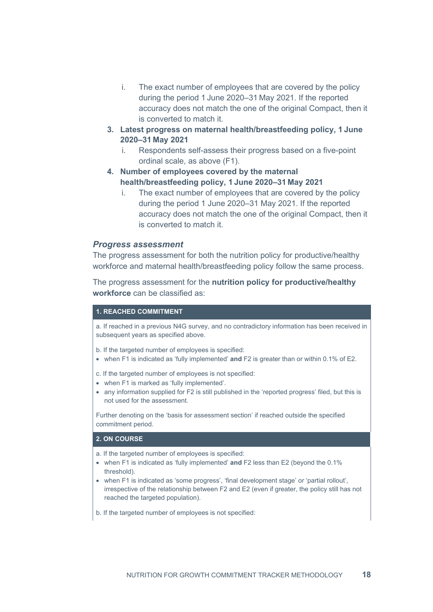- i. The exact number of employees that are covered by the policy during the period 1 June 2020–31 May 2021. If the reported accuracy does not match the one of the original Compact, then it is converted to match it.
- **3. Latest progress on maternal health/breastfeeding policy, 1 June 2020–31 May 2021**
	- i. Respondents self-assess their progress based on a five-point ordinal scale, as above (F1).
- **4. Number of employees covered by the maternal health/breastfeeding policy, 1 June 2020–31 May 2021**
	- i. The exact number of employees that are covered by the policy during the period 1 June 2020–31 May 2021. If the reported accuracy does not match the one of the original Compact, then it is converted to match it.

#### *Progress assessment*

The progress assessment for both the nutrition policy for productive/healthy workforce and maternal health/breastfeeding policy follow the same process.

The progress assessment for the **nutrition policy for productive/healthy workforce** can be classified as:

#### **1. REACHED COMMITMENT**

a. If reached in a previous N4G survey, and no contradictory information has been received in subsequent years as specified above.

- b. If the targeted number of employees is specified:
- when F1 is indicated as 'fully implemented' **and** F2 is greater than or within 0.1% of E2.
- c. If the targeted number of employees is not specified:
- when F1 is marked as 'fully implemented'.
- any information supplied for F2 is still published in the 'reported progress' filed, but this is not used for the assessment.

Further denoting on the 'basis for assessment section' if reached outside the specified commitment period.

#### **2. ON COURSE**

- a. If the targeted number of employees is specified:
- when F1 is indicated as 'fully implemented' **and** F2 less than E2 (beyond the 0.1% threshold).
- when F1 is indicated as 'some progress', 'final development stage' or 'partial rollout', irrespective of the relationship between F2 and E2 (even if greater, the policy still has not reached the targeted population).
- b. If the targeted number of employees is not specified: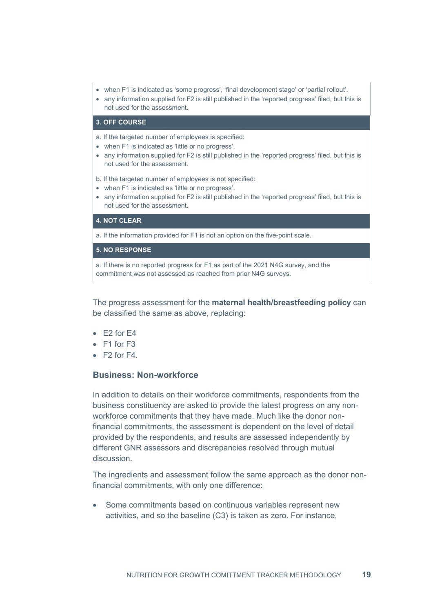- when F1 is indicated as 'some progress', 'final development stage' or 'partial rollout'.
- any information supplied for F2 is still published in the 'reported progress' filed, but this is not used for the assessment.

#### **3. OFF COURSE**

a. If the targeted number of employees is specified:

- when F1 is indicated as 'little or no progress'.
- any information supplied for F2 is still published in the 'reported progress' filed, but this is not used for the assessment.

b. If the targeted number of employees is not specified:

- when F1 is indicated as 'little or no progress'.
- any information supplied for F2 is still published in the 'reported progress' filed, but this is not used for the assessment.

#### **4. NOT CLEAR**

a. If the information provided for F1 is not an option on the five-point scale.

#### **5. NO RESPONSE**

a. If there is no reported progress for F1 as part of the 2021 N4G survey, and the commitment was not assessed as reached from prior N4G surveys.

The progress assessment for the **maternal health/breastfeeding policy** can be classified the same as above, replacing:

- $\bullet$  F<sub>2</sub> for F<sub>4</sub>
- F1 for F3
- $F2$  for  $F4$ .

#### **Business: Non-workforce**

In addition to details on their workforce commitments, respondents from the business constituency are asked to provide the latest progress on any nonworkforce commitments that they have made. Much like the donor nonfinancial commitments, the assessment is dependent on the level of detail provided by the respondents, and results are assessed independently by different GNR assessors and discrepancies resolved through mutual discussion.

The ingredients and assessment follow the same approach as the donor nonfinancial commitments, with only one difference:

Some commitments based on continuous variables represent new activities, and so the baseline (C3) is taken as zero. For instance,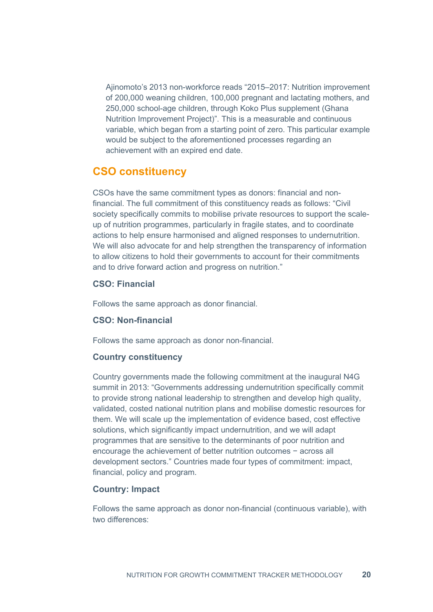Ajinomoto's 2013 non-workforce reads "2015–2017: Nutrition improvement of 200,000 weaning children, 100,000 pregnant and lactating mothers, and 250,000 school-age children, through Koko Plus supplement (Ghana Nutrition Improvement Project)". This is a measurable and continuous variable, which began from a starting point of zero. This particular example would be subject to the aforementioned processes regarding an achievement with an expired end date.

### <span id="page-19-0"></span>**CSO constituency**

CSOs have the same commitment types as donors: financial and nonfinancial. The full commitment of this constituency reads as follows: "Civil society specifically commits to mobilise private resources to support the scaleup of nutrition programmes, particularly in fragile states, and to coordinate actions to help ensure harmonised and aligned responses to undernutrition. We will also advocate for and help strengthen the transparency of information to allow citizens to hold their governments to account for their commitments and to drive forward action and progress on nutrition."

#### **CSO: Financial**

Follows the same approach as donor financial.

#### **CSO: Non-financial**

Follows the same approach as donor non-financial.

#### **Country constituency**

Country governments made the following commitment at the inaugural N4G summit in 2013: "Governments addressing undernutrition specifically commit to provide strong national leadership to strengthen and develop high quality, validated, costed national nutrition plans and mobilise domestic resources for them. We will scale up the implementation of evidence based, cost effective solutions, which significantly impact undernutrition, and we will adapt programmes that are sensitive to the determinants of poor nutrition and encourage the achievement of better nutrition outcomes − across all development sectors." Countries made four types of commitment: impact, financial, policy and program.

#### **Country: Impact**

Follows the same approach as donor non-financial (continuous variable), with two differences: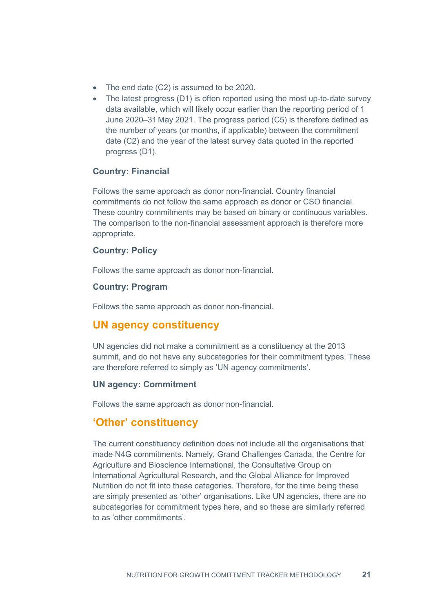- The end date (C2) is assumed to be 2020.
- The latest progress (D1) is often reported using the most up-to-date survey data available, which will likely occur earlier than the reporting period of 1 June 2020–31 May 2021. The progress period (C5) is therefore defined as the number of years (or months, if applicable) between the commitment date (C2) and the year of the latest survey data quoted in the reported progress (D1).

#### **Country: Financial**

Follows the same approach as donor non-financial. Country financial commitments do not follow the same approach as donor or CSO financial. These country commitments may be based on binary or continuous variables. The comparison to the non-financial assessment approach is therefore more appropriate.

#### **Country: Policy**

Follows the same approach as donor non-financial.

#### **Country: Program**

Follows the same approach as donor non-financial.

#### <span id="page-20-0"></span>**UN agency constituency**

UN agencies did not make a commitment as a constituency at the 2013 summit, and do not have any subcategories for their commitment types. These are therefore referred to simply as 'UN agency commitments'.

#### **UN agency: Commitment**

Follows the same approach as donor non-financial.

#### <span id="page-20-1"></span>**'Other' constituency**

The current constituency definition does not include all the organisations that made N4G commitments. Namely, Grand Challenges Canada, the Centre for Agriculture and Bioscience International, the Consultative Group on International Agricultural Research, and the Global Alliance for Improved Nutrition do not fit into these categories. Therefore, for the time being these are simply presented as 'other' organisations. Like UN agencies, there are no subcategories for commitment types here, and so these are similarly referred to as 'other commitments'.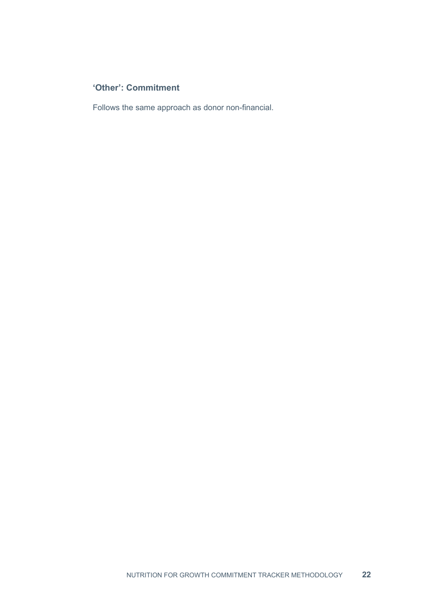### **'Other': Commitment**

Follows the same approach as donor non-financial.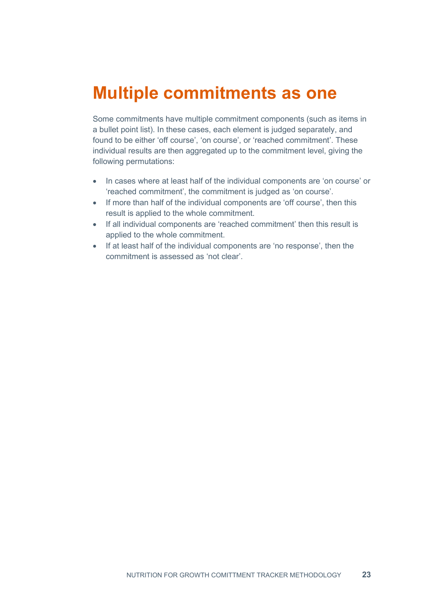## <span id="page-22-0"></span>**Multiple commitments as one**

Some commitments have multiple commitment components (such as items in a bullet point list). In these cases, each element is judged separately, and found to be either 'off course', 'on course', or 'reached commitment'. These individual results are then aggregated up to the commitment level, giving the following permutations:

- In cases where at least half of the individual components are 'on course' or 'reached commitment', the commitment is judged as 'on course'.
- If more than half of the individual components are 'off course', then this result is applied to the whole commitment.
- If all individual components are 'reached commitment' then this result is applied to the whole commitment.
- If at least half of the individual components are 'no response', then the commitment is assessed as 'not clear'.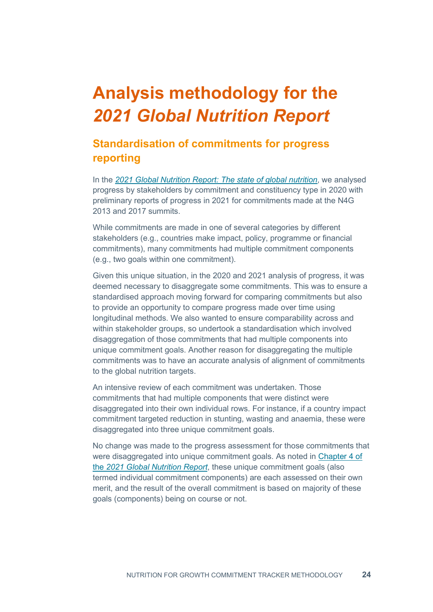# <span id="page-23-0"></span>**Analysis methodology for the**  *2021 Global Nutrition Report*

### <span id="page-23-1"></span>**Standardisation of commitments for progress reporting**

In the *[2021 Global Nutrition Report: The state of global nutrition](http://www.globalnutritionreport.org/reports/2021-global-nutrition-report)*, we analysed progress by stakeholders by commitment and constituency type in 2020 with preliminary reports of progress in 2021 for commitments made at the N4G 2013 and 2017 summits.

While commitments are made in one of several categories by different stakeholders (e.g., countries make impact, policy, programme or financial commitments), many commitments had multiple commitment components (e.g., two goals within one commitment).

Given this unique situation, in the 2020 and 2021 analysis of progress, it was deemed necessary to disaggregate some commitments. This was to ensure a standardised approach moving forward for comparing commitments but also to provide an opportunity to compare progress made over time using longitudinal methods. We also wanted to ensure comparability across and within stakeholder groups, so undertook a standardisation which involved disaggregation of those commitments that had multiple components into unique commitment goals. Another reason for disaggregating the multiple commitments was to have an accurate analysis of alignment of commitments to the global nutrition targets.

An intensive review of each commitment was undertaken. Those commitments that had multiple components that were distinct were disaggregated into their own individual rows. For instance, if a country impact commitment targeted reduction in stunting, wasting and anaemia, these were disaggregated into three unique commitment goals.

No change was made to the progress assessment for those commitments that were disaggregated into unique commitment goals. As noted in [Chapter 4 of](http://www.globalnutritionreport.org/reports/2021-global-nutrition-report/chapter-four)  the *[2021 Global Nutrition Report](http://www.globalnutritionreport.org/reports/2021-global-nutrition-report/chapter-four)*, these unique commitment goals (also termed individual commitment components) are each assessed on their own merit, and the result of the overall commitment is based on majority of these goals (components) being on course or not.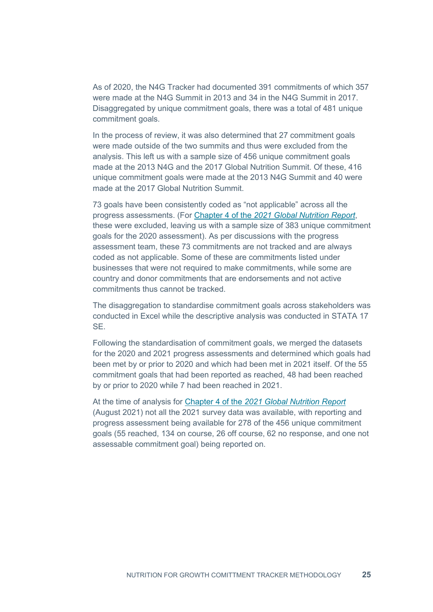As of 2020, the N4G Tracker had documented 391 commitments of which 357 were made at the N4G Summit in 2013 and 34 in the N4G Summit in 2017. Disaggregated by unique commitment goals, there was a total of 481 unique commitment goals.

In the process of review, it was also determined that 27 commitment goals were made outside of the two summits and thus were excluded from the analysis. This left us with a sample size of 456 unique commitment goals made at the 2013 N4G and the 2017 Global Nutrition Summit. Of these, 416 unique commitment goals were made at the 2013 N4G Summit and 40 were made at the 2017 Global Nutrition Summit.

73 goals have been consistently coded as "not applicable" across all the progress assessments. (For Chapter 4 of the *[2021 Global Nutrition Report](http://www.globalnutritionreport.org/reports/2021-global-nutrition-report/chapter-four)*, these were excluded, leaving us with a sample size of 383 unique commitment goals for the 2020 assessment). As per discussions with the progress assessment team, these 73 commitments are not tracked and are always coded as not applicable. Some of these are commitments listed under businesses that were not required to make commitments, while some are country and donor commitments that are endorsements and not active commitments thus cannot be tracked.

The disaggregation to standardise commitment goals across stakeholders was conducted in Excel while the descriptive analysis was conducted in STATA 17 SE.

Following the standardisation of commitment goals, we merged the datasets for the 2020 and 2021 progress assessments and determined which goals had been met by or prior to 2020 and which had been met in 2021 itself. Of the 55 commitment goals that had been reported as reached, 48 had been reached by or prior to 2020 while 7 had been reached in 2021.

At the time of analysis for Chapter 4 of the *[2021 Global Nutrition Report](http://www.globalnutritionreport.org/reports/2021-global-nutrition-report/chapter-four)* (August 2021) not all the 2021 survey data was available, with reporting and progress assessment being available for 278 of the 456 unique commitment goals (55 reached, 134 on course, 26 off course, 62 no response, and one not assessable commitment goal) being reported on.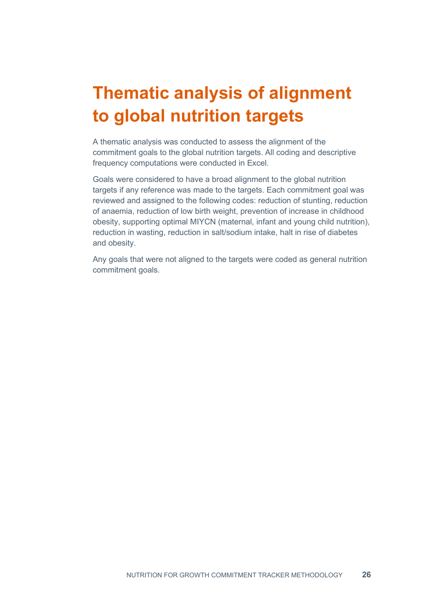# <span id="page-25-0"></span>**Thematic analysis of alignment to global nutrition targets**

A thematic analysis was conducted to assess the alignment of the commitment goals to the global nutrition targets. All coding and descriptive frequency computations were conducted in Excel.

Goals were considered to have a broad alignment to the global nutrition targets if any reference was made to the targets. Each commitment goal was reviewed and assigned to the following codes: reduction of stunting, reduction of anaemia, reduction of low birth weight, prevention of increase in childhood obesity, supporting optimal MIYCN (maternal, infant and young child nutrition), reduction in wasting, reduction in salt/sodium intake, halt in rise of diabetes and obesity.

Any goals that were not aligned to the targets were coded as general nutrition commitment goals.